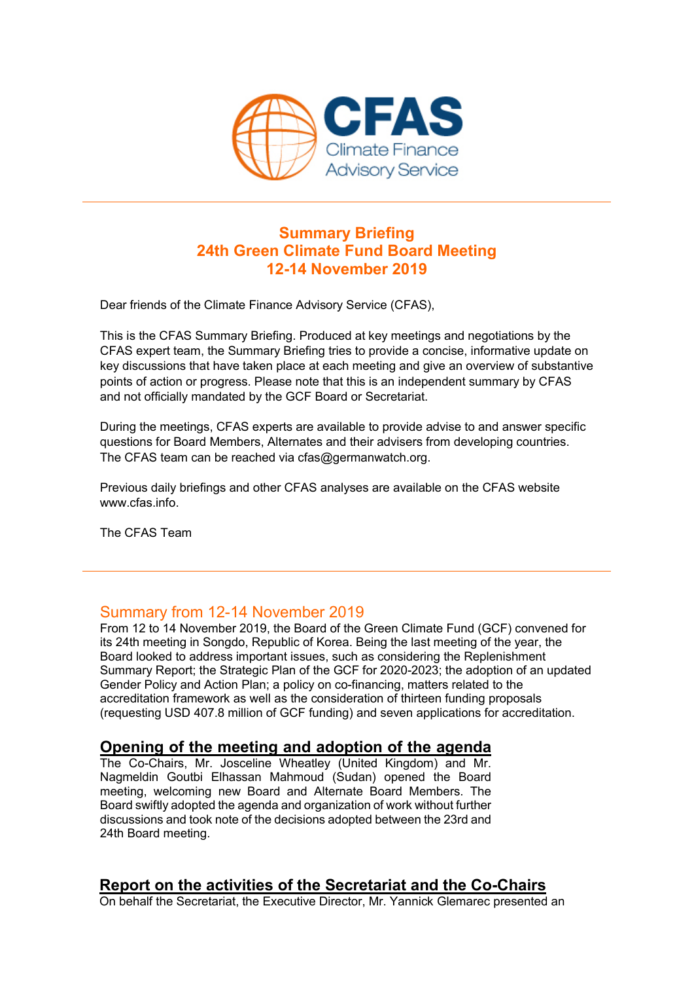

# **Summary Briefing 24th Green Climate Fund Board Meeting 12-14 November 2019**

Dear friends of the Climate Finance Advisory Service (CFAS),

This is the CFAS Summary Briefing. Produced at key meetings and negotiations by the CFAS expert team, the Summary Briefing tries to provide a concise, informative update on key discussions that have taken place at each meeting and give an overview of substantive points of action or progress. Please note that this is an independent summary by CFAS and not officially mandated by the GCF Board or Secretariat.

During the meetings, CFAS experts are available to provide advise to and answer specific questions for Board Members, Alternates and their advisers from developing countries. The CFAS team can be reached via cfas@germanwatch.org.

Previous daily briefings and other CFAS analyses are available on the CFAS website www.cfas.info.

The CFAS Team

# Summary from 12-14 November 2019

From 12 to 14 November 2019, the Board of the Green Climate Fund (GCF) convened for its 24th meeting in Songdo, Republic of Korea. Being the last meeting of the year, the Board looked to address important issues, such as considering the Replenishment Summary Report; the Strategic Plan of the GCF for 2020-2023; the adoption of an updated Gender Policy and Action Plan; a policy on co-financing, matters related to the accreditation framework as well as the consideration of thirteen funding proposals (requesting USD 407.8 million of GCF funding) and seven applications for accreditation.

# **Opening of the meeting and adoption of the agenda**

The Co-Chairs, Mr. Josceline Wheatley (United Kingdom) and Mr. Nagmeldin Goutbi Elhassan Mahmoud (Sudan) opened the Board meeting, welcoming new Board and Alternate Board Members. The Board swiftly adopted the agenda and organization of work without further discussions and took note of the decisions adopted between the 23rd and 24th Board meeting.

# **Report on the activities of the Secretariat and the Co-Chairs**

On behalf the Secretariat, the Executive Director, Mr. Yannick Glemarec presented an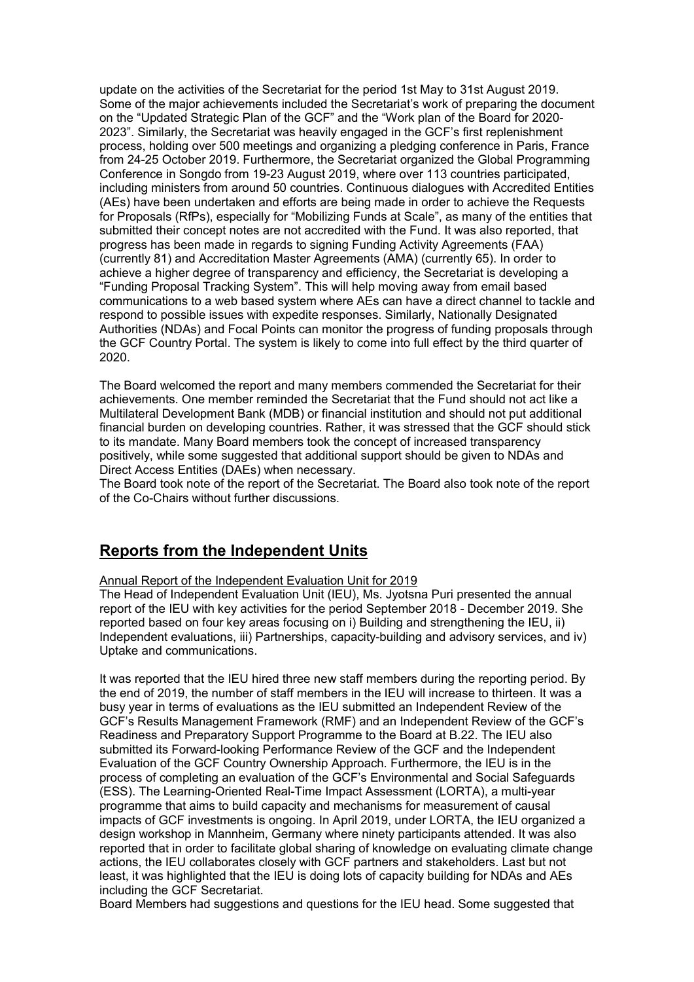update on the activities of the Secretariat for the period 1st May to 31st August 2019. Some of the major achievements included the Secretariat's work of preparing the document on the "Updated Strategic Plan of the GCF" and the "Work plan of the Board for 2020- 2023". Similarly, the Secretariat was heavily engaged in the GCF's first replenishment process, holding over 500 meetings and organizing a pledging conference in Paris, France from 24-25 October 2019. Furthermore, the Secretariat organized the Global Programming Conference in Songdo from 19-23 August 2019, where over 113 countries participated, including ministers from around 50 countries. Continuous dialogues with Accredited Entities (AEs) have been undertaken and efforts are being made in order to achieve the Requests for Proposals (RfPs), especially for "Mobilizing Funds at Scale", as many of the entities that submitted their concept notes are not accredited with the Fund. It was also reported, that progress has been made in regards to signing Funding Activity Agreements (FAA) (currently 81) and Accreditation Master Agreements (AMA) (currently 65). In order to achieve a higher degree of transparency and efficiency, the Secretariat is developing a "Funding Proposal Tracking System". This will help moving away from email based communications to a web based system where AEs can have a direct channel to tackle and respond to possible issues with expedite responses. Similarly, Nationally Designated Authorities (NDAs) and Focal Points can monitor the progress of funding proposals through the GCF Country Portal. The system is likely to come into full effect by the third quarter of 2020.

The Board welcomed the report and many members commended the Secretariat for their achievements. One member reminded the Secretariat that the Fund should not act like a Multilateral Development Bank (MDB) or financial institution and should not put additional financial burden on developing countries. Rather, it was stressed that the GCF should stick to its mandate. Many Board members took the concept of increased transparency positively, while some suggested that additional support should be given to NDAs and Direct Access Entities (DAEs) when necessary.

The Board took note of the report of the Secretariat. The Board also took note of the report of the Co-Chairs without further discussions.

# **Reports from the Independent Units**

Annual Report of the Independent Evaluation Unit for 2019

The Head of Independent Evaluation Unit (IEU), Ms. Jyotsna Puri presented the annual report of the IEU with key activities for the period September 2018 - December 2019. She reported based on four key areas focusing on i) Building and strengthening the IEU, ii) Independent evaluations, iii) Partnerships, capacity-building and advisory services, and iv) Uptake and communications.

It was reported that the IEU hired three new staff members during the reporting period. By the end of 2019, the number of staff members in the IEU will increase to thirteen. It was a busy year in terms of evaluations as the IEU submitted an Independent Review of the GCF's Results Management Framework (RMF) and an Independent Review of the GCF's Readiness and Preparatory Support Programme to the Board at B.22. The IEU also submitted its Forward-looking Performance Review of the GCF and the Independent Evaluation of the GCF Country Ownership Approach. Furthermore, the IEU is in the process of completing an evaluation of the GCF's Environmental and Social Safeguards (ESS). The Learning-Oriented Real-Time Impact Assessment (LORTA), a multi-year programme that aims to build capacity and mechanisms for measurement of causal impacts of GCF investments is ongoing. In April 2019, under LORTA, the IEU organized a design workshop in Mannheim, Germany where ninety participants attended. It was also reported that in order to facilitate global sharing of knowledge on evaluating climate change actions, the IEU collaborates closely with GCF partners and stakeholders. Last but not least, it was highlighted that the IEU is doing lots of capacity building for NDAs and AEs including the GCF Secretariat.

Board Members had suggestions and questions for the IEU head. Some suggested that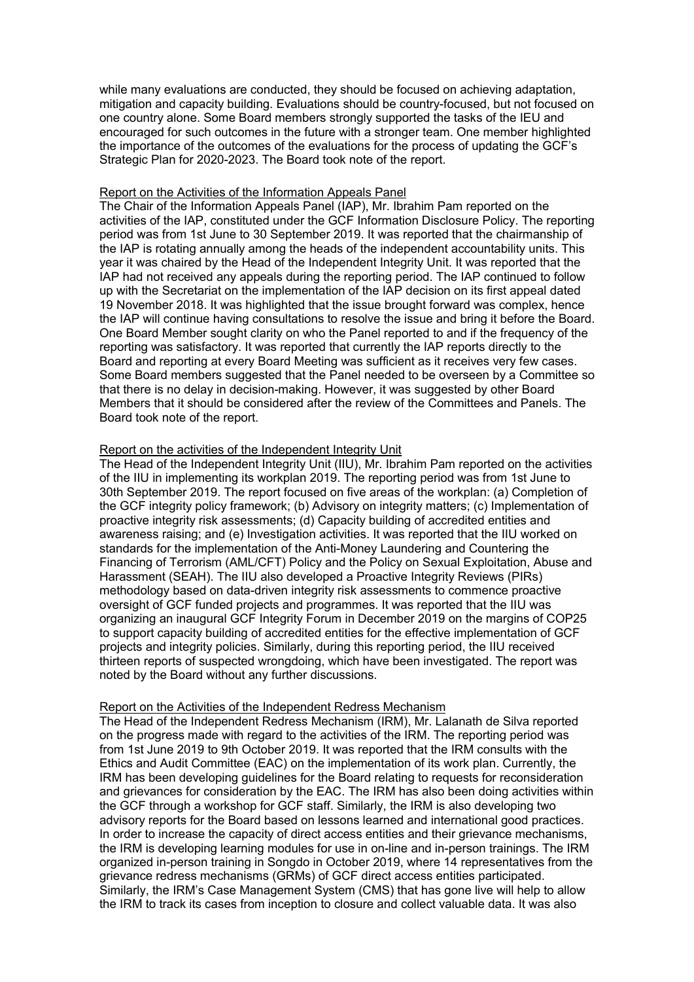while many evaluations are conducted, they should be focused on achieving adaptation, mitigation and capacity building. Evaluations should be country-focused, but not focused on one country alone. Some Board members strongly supported the tasks of the IEU and encouraged for such outcomes in the future with a stronger team. One member highlighted the importance of the outcomes of the evaluations for the process of updating the GCF's Strategic Plan for 2020-2023. The Board took note of the report.

#### Report on the Activities of the Information Appeals Panel

The Chair of the Information Appeals Panel (IAP), Mr. Ibrahim Pam reported on the activities of the IAP, constituted under the GCF Information Disclosure Policy. The reporting period was from 1st June to 30 September 2019. It was reported that the chairmanship of the IAP is rotating annually among the heads of the independent accountability units. This year it was chaired by the Head of the Independent Integrity Unit. It was reported that the IAP had not received any appeals during the reporting period. The IAP continued to follow up with the Secretariat on the implementation of the IAP decision on its first appeal dated 19 November 2018. It was highlighted that the issue brought forward was complex, hence the IAP will continue having consultations to resolve the issue and bring it before the Board. One Board Member sought clarity on who the Panel reported to and if the frequency of the reporting was satisfactory. It was reported that currently the IAP reports directly to the Board and reporting at every Board Meeting was sufficient as it receives very few cases. Some Board members suggested that the Panel needed to be overseen by a Committee so that there is no delay in decision-making. However, it was suggested by other Board Members that it should be considered after the review of the Committees and Panels. The Board took note of the report.

#### Report on the activities of the Independent Integrity Unit

The Head of the Independent Integrity Unit (IIU), Mr. Ibrahim Pam reported on the activities of the IIU in implementing its workplan 2019. The reporting period was from 1st June to 30th September 2019. The report focused on five areas of the workplan: (a) Completion of the GCF integrity policy framework; (b) Advisory on integrity matters; (c) Implementation of proactive integrity risk assessments; (d) Capacity building of accredited entities and awareness raising; and (e) Investigation activities. It was reported that the IIU worked on standards for the implementation of the Anti-Money Laundering and Countering the Financing of Terrorism (AML/CFT) Policy and the Policy on Sexual Exploitation, Abuse and Harassment (SEAH). The IIU also developed a Proactive Integrity Reviews (PIRs) methodology based on data-driven integrity risk assessments to commence proactive oversight of GCF funded projects and programmes. It was reported that the IIU was organizing an inaugural GCF Integrity Forum in December 2019 on the margins of COP25 to support capacity building of accredited entities for the effective implementation of GCF projects and integrity policies. Similarly, during this reporting period, the IIU received thirteen reports of suspected wrongdoing, which have been investigated. The report was noted by the Board without any further discussions.

#### Report on the Activities of the Independent Redress Mechanism

The Head of the Independent Redress Mechanism (IRM), Mr. Lalanath de Silva reported on the progress made with regard to the activities of the IRM. The reporting period was from 1st June 2019 to 9th October 2019. It was reported that the IRM consults with the Ethics and Audit Committee (EAC) on the implementation of its work plan. Currently, the IRM has been developing guidelines for the Board relating to requests for reconsideration and grievances for consideration by the EAC. The IRM has also been doing activities within the GCF through a workshop for GCF staff. Similarly, the IRM is also developing two advisory reports for the Board based on lessons learned and international good practices. In order to increase the capacity of direct access entities and their grievance mechanisms, the IRM is developing learning modules for use in on-line and in-person trainings. The IRM organized in-person training in Songdo in October 2019, where 14 representatives from the grievance redress mechanisms (GRMs) of GCF direct access entities participated. Similarly, the IRM's Case Management System (CMS) that has gone live will help to allow the IRM to track its cases from inception to closure and collect valuable data. It was also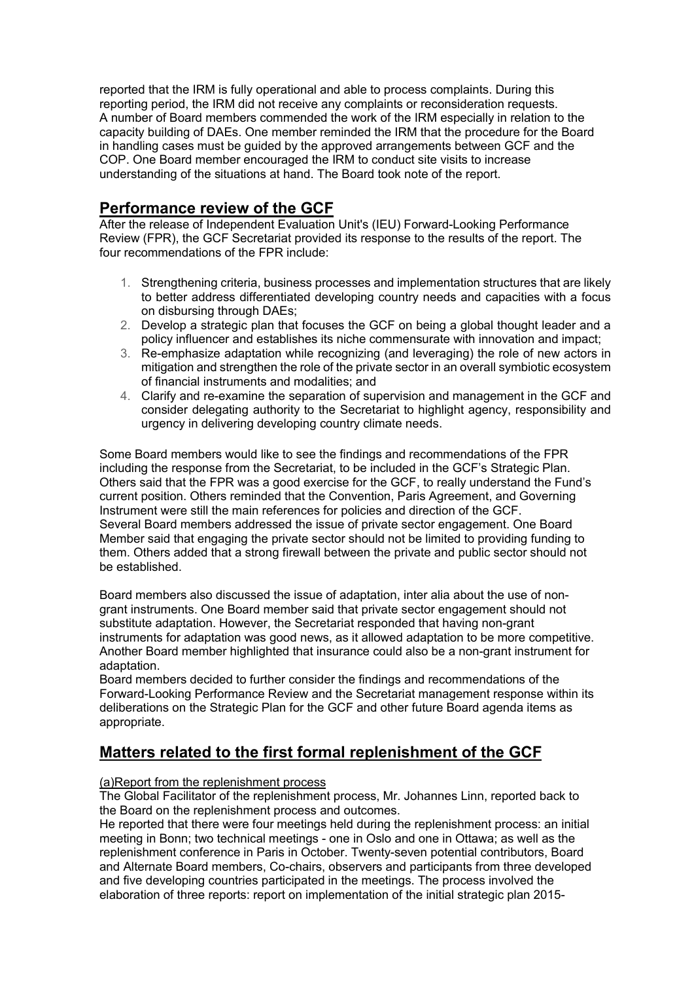reported that the IRM is fully operational and able to process complaints. During this reporting period, the IRM did not receive any complaints or reconsideration requests. A number of Board members commended the work of the IRM especially in relation to the capacity building of DAEs. One member reminded the IRM that the procedure for the Board in handling cases must be guided by the approved arrangements between GCF and the COP. One Board member encouraged the IRM to conduct site visits to increase understanding of the situations at hand. The Board took note of the report.

# **Performance review of the GCF**

After the release of Independent Evaluation Unit's (IEU) Forward-Looking Performance Review (FPR), the GCF Secretariat provided its response to the results of the report. The four recommendations of the FPR include:

- 1. Strengthening criteria, business processes and implementation structures that are likely to better address differentiated developing country needs and capacities with a focus on disbursing through DAEs;
- 2. Develop a strategic plan that focuses the GCF on being a global thought leader and a policy influencer and establishes its niche commensurate with innovation and impact;
- 3. Re-emphasize adaptation while recognizing (and leveraging) the role of new actors in mitigation and strengthen the role of the private sector in an overall symbiotic ecosystem of financial instruments and modalities; and
- 4. Clarify and re-examine the separation of supervision and management in the GCF and consider delegating authority to the Secretariat to highlight agency, responsibility and urgency in delivering developing country climate needs.

Some Board members would like to see the findings and recommendations of the FPR including the response from the Secretariat, to be included in the GCF's Strategic Plan. Others said that the FPR was a good exercise for the GCF, to really understand the Fund's current position. Others reminded that the Convention, Paris Agreement, and Governing Instrument were still the main references for policies and direction of the GCF. Several Board members addressed the issue of private sector engagement. One Board Member said that engaging the private sector should not be limited to providing funding to them. Others added that a strong firewall between the private and public sector should not be established.

Board members also discussed the issue of adaptation, inter alia about the use of nongrant instruments. One Board member said that private sector engagement should not substitute adaptation. However, the Secretariat responded that having non-grant instruments for adaptation was good news, as it allowed adaptation to be more competitive. Another Board member highlighted that insurance could also be a non-grant instrument for adaptation.

Board members decided to further consider the findings and recommendations of the Forward-Looking Performance Review and the Secretariat management response within its deliberations on the Strategic Plan for the GCF and other future Board agenda items as appropriate.

# **Matters related to the first formal replenishment of the GCF**

#### (a)Report from the replenishment process

The Global Facilitator of the replenishment process, Mr. Johannes Linn, reported back to the Board on the replenishment process and outcomes.

He reported that there were four meetings held during the replenishment process: an initial meeting in Bonn; two technical meetings - one in Oslo and one in Ottawa; as well as the replenishment conference in Paris in October. Twenty-seven potential contributors, Board and Alternate Board members, Co-chairs, observers and participants from three developed and five developing countries participated in the meetings. The process involved the elaboration of three reports: report on implementation of the initial strategic plan 2015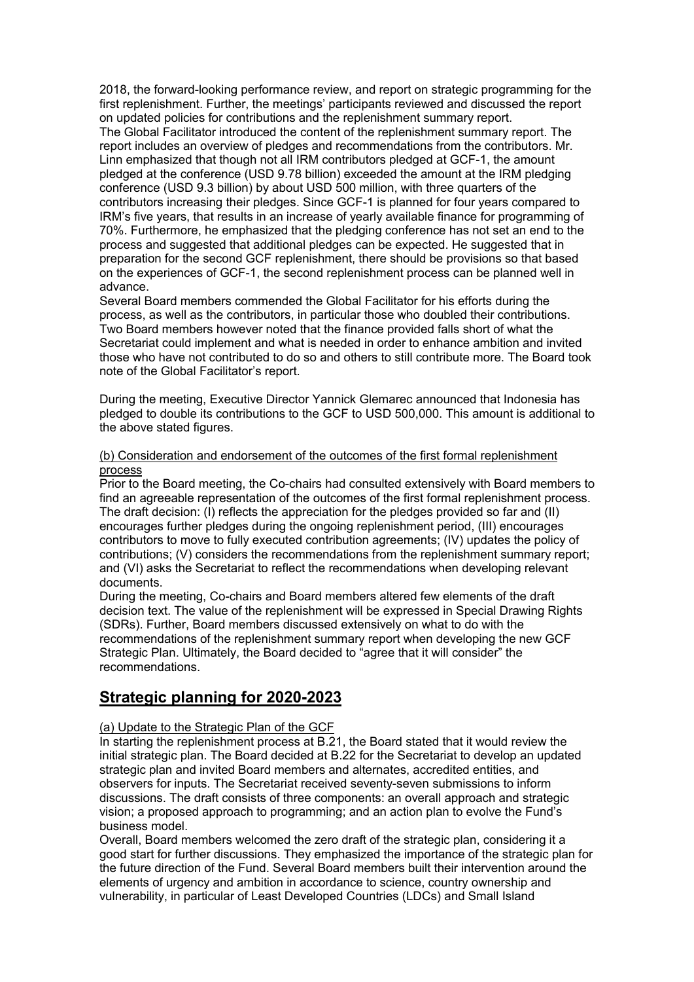2018, the forward-looking performance review, and report on strategic programming for the first replenishment. Further, the meetings' participants reviewed and discussed the report on updated policies for contributions and the replenishment summary report.

The Global Facilitator introduced the content of the replenishment summary report. The report includes an overview of pledges and recommendations from the contributors. Mr. Linn emphasized that though not all IRM contributors pledged at GCF-1, the amount pledged at the conference (USD 9.78 billion) exceeded the amount at the IRM pledging conference (USD 9.3 billion) by about USD 500 million, with three quarters of the contributors increasing their pledges. Since GCF-1 is planned for four years compared to IRM's five years, that results in an increase of yearly available finance for programming of 70%. Furthermore, he emphasized that the pledging conference has not set an end to the process and suggested that additional pledges can be expected. He suggested that in preparation for the second GCF replenishment, there should be provisions so that based on the experiences of GCF-1, the second replenishment process can be planned well in advance.

Several Board members commended the Global Facilitator for his efforts during the process, as well as the contributors, in particular those who doubled their contributions. Two Board members however noted that the finance provided falls short of what the Secretariat could implement and what is needed in order to enhance ambition and invited those who have not contributed to do so and others to still contribute more. The Board took note of the Global Facilitator's report.

During the meeting, Executive Director Yannick Glemarec announced that Indonesia has pledged to double its contributions to the GCF to USD 500,000. This amount is additional to the above stated figures.

#### (b) Consideration and endorsement of the outcomes of the first formal replenishment process

Prior to the Board meeting, the Co-chairs had consulted extensively with Board members to find an agreeable representation of the outcomes of the first formal replenishment process. The draft decision: (I) reflects the appreciation for the pledges provided so far and (II) encourages further pledges during the ongoing replenishment period, (III) encourages contributors to move to fully executed contribution agreements; (IV) updates the policy of contributions; (V) considers the recommendations from the replenishment summary report; and (VI) asks the Secretariat to reflect the recommendations when developing relevant documents.

During the meeting, Co-chairs and Board members altered few elements of the draft decision text. The value of the replenishment will be expressed in Special Drawing Rights (SDRs). Further, Board members discussed extensively on what to do with the recommendations of the replenishment summary report when developing the new GCF Strategic Plan. Ultimately, the Board decided to "agree that it will consider" the recommendations.

# **Strategic planning for 2020-2023**

#### (a) Update to the Strategic Plan of the GCF

In starting the replenishment process at B.21, the Board stated that it would review the initial strategic plan. The Board decided at B.22 for the Secretariat to develop an updated strategic plan and invited Board members and alternates, accredited entities, and observers for inputs. The Secretariat received seventy-seven submissions to inform discussions. The draft consists of three components: an overall approach and strategic vision; a proposed approach to programming; and an action plan to evolve the Fund's business model.

Overall, Board members welcomed the zero draft of the strategic plan, considering it a good start for further discussions. They emphasized the importance of the strategic plan for the future direction of the Fund. Several Board members built their intervention around the elements of urgency and ambition in accordance to science, country ownership and vulnerability, in particular of Least Developed Countries (LDCs) and Small Island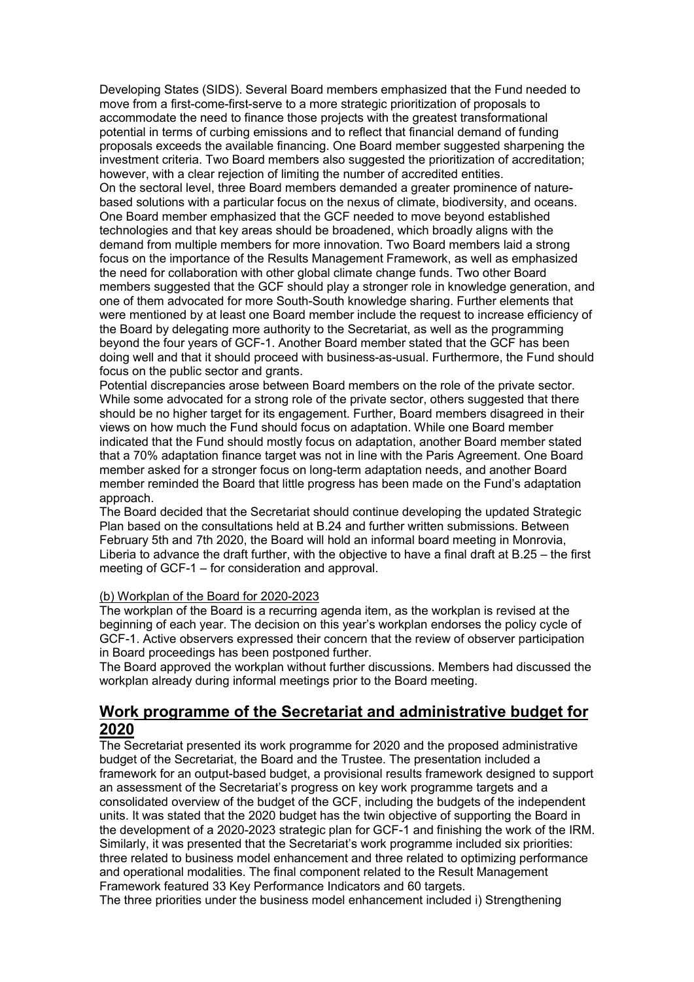Developing States (SIDS). Several Board members emphasized that the Fund needed to move from a first-come-first-serve to a more strategic prioritization of proposals to accommodate the need to finance those projects with the greatest transformational potential in terms of curbing emissions and to reflect that financial demand of funding proposals exceeds the available financing. One Board member suggested sharpening the investment criteria. Two Board members also suggested the prioritization of accreditation; however, with a clear rejection of limiting the number of accredited entities. On the sectoral level, three Board members demanded a greater prominence of nature-

based solutions with a particular focus on the nexus of climate, biodiversity, and oceans. One Board member emphasized that the GCF needed to move beyond established technologies and that key areas should be broadened, which broadly aligns with the demand from multiple members for more innovation. Two Board members laid a strong focus on the importance of the Results Management Framework, as well as emphasized the need for collaboration with other global climate change funds. Two other Board members suggested that the GCF should play a stronger role in knowledge generation, and one of them advocated for more South-South knowledge sharing. Further elements that were mentioned by at least one Board member include the request to increase efficiency of the Board by delegating more authority to the Secretariat, as well as the programming beyond the four years of GCF-1. Another Board member stated that the GCF has been doing well and that it should proceed with business-as-usual. Furthermore, the Fund should focus on the public sector and grants.

Potential discrepancies arose between Board members on the role of the private sector. While some advocated for a strong role of the private sector, others suggested that there should be no higher target for its engagement. Further, Board members disagreed in their views on how much the Fund should focus on adaptation. While one Board member indicated that the Fund should mostly focus on adaptation, another Board member stated that a 70% adaptation finance target was not in line with the Paris Agreement. One Board member asked for a stronger focus on long-term adaptation needs, and another Board member reminded the Board that little progress has been made on the Fund's adaptation approach.

The Board decided that the Secretariat should continue developing the updated Strategic Plan based on the consultations held at B.24 and further written submissions. Between February 5th and 7th 2020, the Board will hold an informal board meeting in Monrovia, Liberia to advance the draft further, with the objective to have a final draft at B.25 – the first meeting of GCF-1 – for consideration and approval.

#### (b) Workplan of the Board for 2020-2023

The workplan of the Board is a recurring agenda item, as the workplan is revised at the beginning of each year. The decision on this year's workplan endorses the policy cycle of GCF-1. Active observers expressed their concern that the review of observer participation in Board proceedings has been postponed further.

The Board approved the workplan without further discussions. Members had discussed the workplan already during informal meetings prior to the Board meeting.

### **Work programme of the Secretariat and administrative budget for 2020**

The Secretariat presented its work programme for 2020 and the proposed administrative budget of the Secretariat, the Board and the Trustee. The presentation included a framework for an output-based budget, a provisional results framework designed to support an assessment of the Secretariat's progress on key work programme targets and a consolidated overview of the budget of the GCF, including the budgets of the independent units. It was stated that the 2020 budget has the twin objective of supporting the Board in the development of a 2020-2023 strategic plan for GCF-1 and finishing the work of the IRM. Similarly, it was presented that the Secretariat's work programme included six priorities: three related to business model enhancement and three related to optimizing performance and operational modalities. The final component related to the Result Management Framework featured 33 Key Performance Indicators and 60 targets.

The three priorities under the business model enhancement included i) Strengthening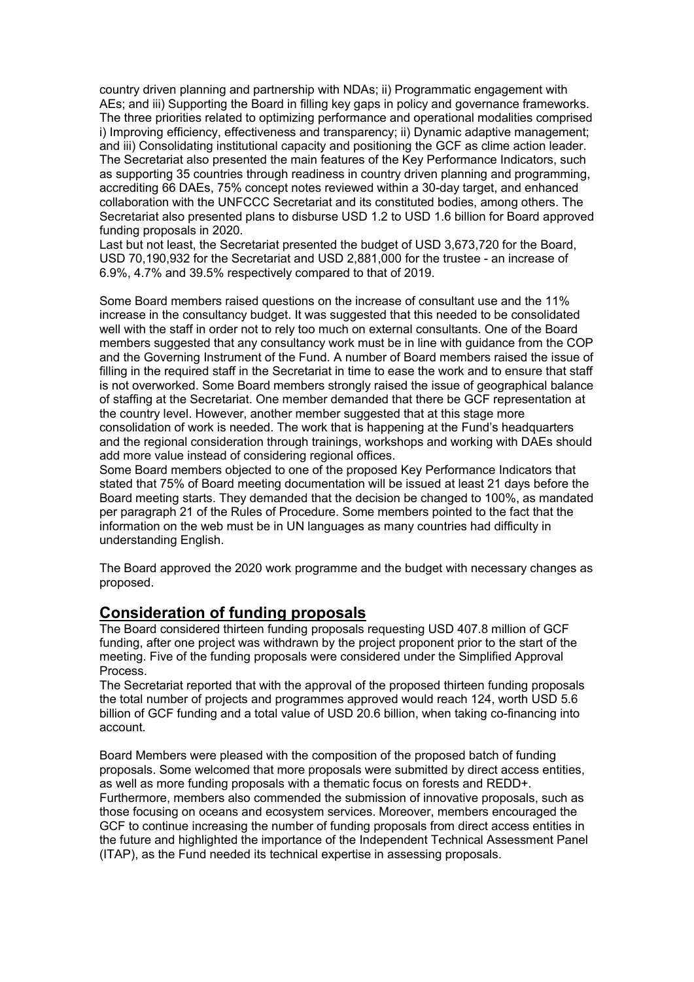country driven planning and partnership with NDAs; ii) Programmatic engagement with AEs; and iii) Supporting the Board in filling key gaps in policy and governance frameworks. The three priorities related to optimizing performance and operational modalities comprised i) Improving efficiency, effectiveness and transparency; ii) Dynamic adaptive management; and iii) Consolidating institutional capacity and positioning the GCF as clime action leader. The Secretariat also presented the main features of the Key Performance Indicators, such as supporting 35 countries through readiness in country driven planning and programming, accrediting 66 DAEs, 75% concept notes reviewed within a 30-day target, and enhanced collaboration with the UNFCCC Secretariat and its constituted bodies, among others. The Secretariat also presented plans to disburse USD 1.2 to USD 1.6 billion for Board approved funding proposals in 2020.

Last but not least, the Secretariat presented the budget of USD 3,673,720 for the Board, USD 70,190,932 for the Secretariat and USD 2,881,000 for the trustee - an increase of 6.9%, 4.7% and 39.5% respectively compared to that of 2019.

Some Board members raised questions on the increase of consultant use and the 11% increase in the consultancy budget. It was suggested that this needed to be consolidated well with the staff in order not to rely too much on external consultants. One of the Board members suggested that any consultancy work must be in line with guidance from the COP and the Governing Instrument of the Fund. A number of Board members raised the issue of filling in the required staff in the Secretariat in time to ease the work and to ensure that staff is not overworked. Some Board members strongly raised the issue of geographical balance of staffing at the Secretariat. One member demanded that there be GCF representation at the country level. However, another member suggested that at this stage more consolidation of work is needed. The work that is happening at the Fund's headquarters and the regional consideration through trainings, workshops and working with DAEs should add more value instead of considering regional offices.

Some Board members objected to one of the proposed Key Performance Indicators that stated that 75% of Board meeting documentation will be issued at least 21 days before the Board meeting starts. They demanded that the decision be changed to 100%, as mandated per paragraph 21 of the Rules of Procedure. Some members pointed to the fact that the information on the web must be in UN languages as many countries had difficulty in understanding English.

The Board approved the 2020 work programme and the budget with necessary changes as proposed.

# **Consideration of funding proposals**

The Board considered thirteen funding proposals requesting USD 407.8 million of GCF funding, after one project was withdrawn by the project proponent prior to the start of the meeting. Five of the funding proposals were considered under the Simplified Approval Process.

The Secretariat reported that with the approval of the proposed thirteen funding proposals the total number of projects and programmes approved would reach 124, worth USD 5.6 billion of GCF funding and a total value of USD 20.6 billion, when taking co-financing into account.

Board Members were pleased with the composition of the proposed batch of funding proposals. Some welcomed that more proposals were submitted by direct access entities, as well as more funding proposals with a thematic focus on forests and REDD+. Furthermore, members also commended the submission of innovative proposals, such as those focusing on oceans and ecosystem services. Moreover, members encouraged the GCF to continue increasing the number of funding proposals from direct access entities in the future and highlighted the importance of the Independent Technical Assessment Panel (ITAP), as the Fund needed its technical expertise in assessing proposals.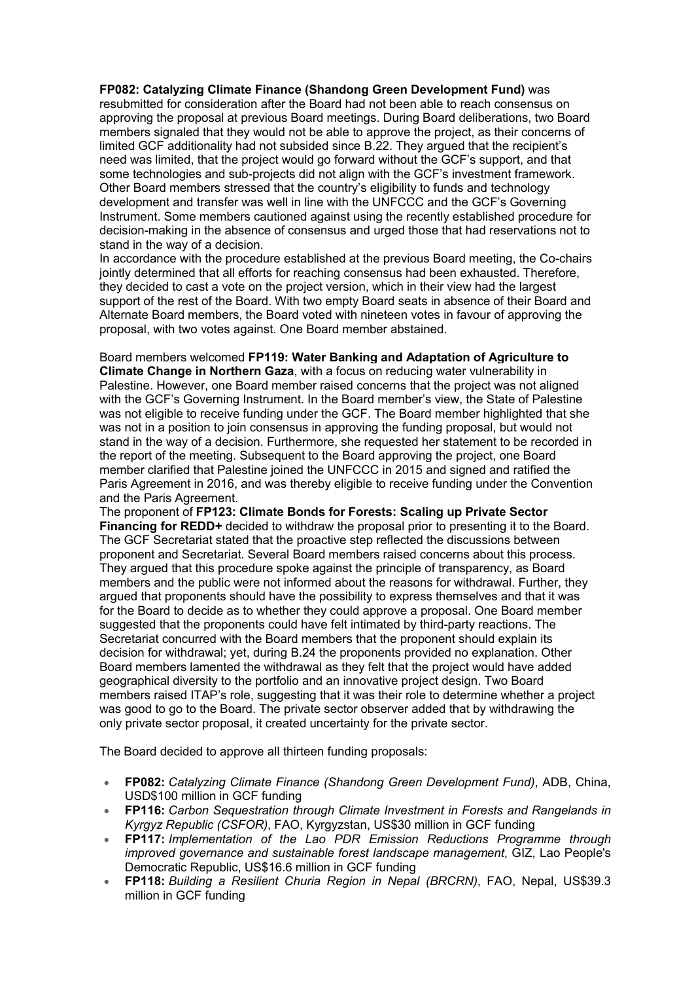#### **FP082: Catalyzing Climate Finance (Shandong Green Development Fund)** was

resubmitted for consideration after the Board had not been able to reach consensus on approving the proposal at previous Board meetings. During Board deliberations, two Board members signaled that they would not be able to approve the project, as their concerns of limited GCF additionality had not subsided since B.22. They argued that the recipient's need was limited, that the project would go forward without the GCF's support, and that some technologies and sub-projects did not align with the GCF's investment framework. Other Board members stressed that the country's eligibility to funds and technology development and transfer was well in line with the UNFCCC and the GCF's Governing Instrument. Some members cautioned against using the recently established procedure for decision-making in the absence of consensus and urged those that had reservations not to stand in the way of a decision.

In accordance with the procedure established at the previous Board meeting, the Co-chairs jointly determined that all efforts for reaching consensus had been exhausted. Therefore, they decided to cast a vote on the project version, which in their view had the largest support of the rest of the Board. With two empty Board seats in absence of their Board and Alternate Board members, the Board voted with nineteen votes in favour of approving the proposal, with two votes against. One Board member abstained.

Board members welcomed **FP119: Water Banking and Adaptation of Agriculture to Climate Change in Northern Gaza**, with a focus on reducing water vulnerability in Palestine. However, one Board member raised concerns that the project was not aligned with the GCF's Governing Instrument. In the Board member's view, the State of Palestine was not eligible to receive funding under the GCF. The Board member highlighted that she was not in a position to join consensus in approving the funding proposal, but would not stand in the way of a decision. Furthermore, she requested her statement to be recorded in the report of the meeting. Subsequent to the Board approving the project, one Board member clarified that Palestine joined the UNFCCC in 2015 and signed and ratified the Paris Agreement in 2016, and was thereby eligible to receive funding under the Convention and the Paris Agreement.

The proponent of **FP123: Climate Bonds for Forests: Scaling up Private Sector Financing for REDD+** decided to withdraw the proposal prior to presenting it to the Board. The GCF Secretariat stated that the proactive step reflected the discussions between proponent and Secretariat. Several Board members raised concerns about this process. They argued that this procedure spoke against the principle of transparency, as Board members and the public were not informed about the reasons for withdrawal. Further, they argued that proponents should have the possibility to express themselves and that it was for the Board to decide as to whether they could approve a proposal. One Board member suggested that the proponents could have felt intimated by third-party reactions. The Secretariat concurred with the Board members that the proponent should explain its decision for withdrawal; yet, during B.24 the proponents provided no explanation. Other Board members lamented the withdrawal as they felt that the project would have added geographical diversity to the portfolio and an innovative project design. Two Board members raised ITAP's role, suggesting that it was their role to determine whether a project was good to go to the Board. The private sector observer added that by withdrawing the only private sector proposal, it created uncertainty for the private sector.

The Board decided to approve all thirteen funding proposals:

- **FP082:** *Catalyzing Climate Finance (Shandong Green Development Fund)*, ADB, China, USD\$100 million in GCF funding
- **FP116:** *Carbon Sequestration through Climate Investment in Forests and Rangelands in Kyrgyz Republic (CSFOR)*, FAO, Kyrgyzstan, US\$30 million in GCF funding
- **FP117:** *Implementation of the Lao PDR Emission Reductions Programme through improved governance and sustainable forest landscape management*, GIZ, Lao People's Democratic Republic, US\$16.6 million in GCF funding
- **FP118:** *Building a Resilient Churia Region in Nepal (BRCRN)*, FAO, Nepal, US\$39.3 million in GCF funding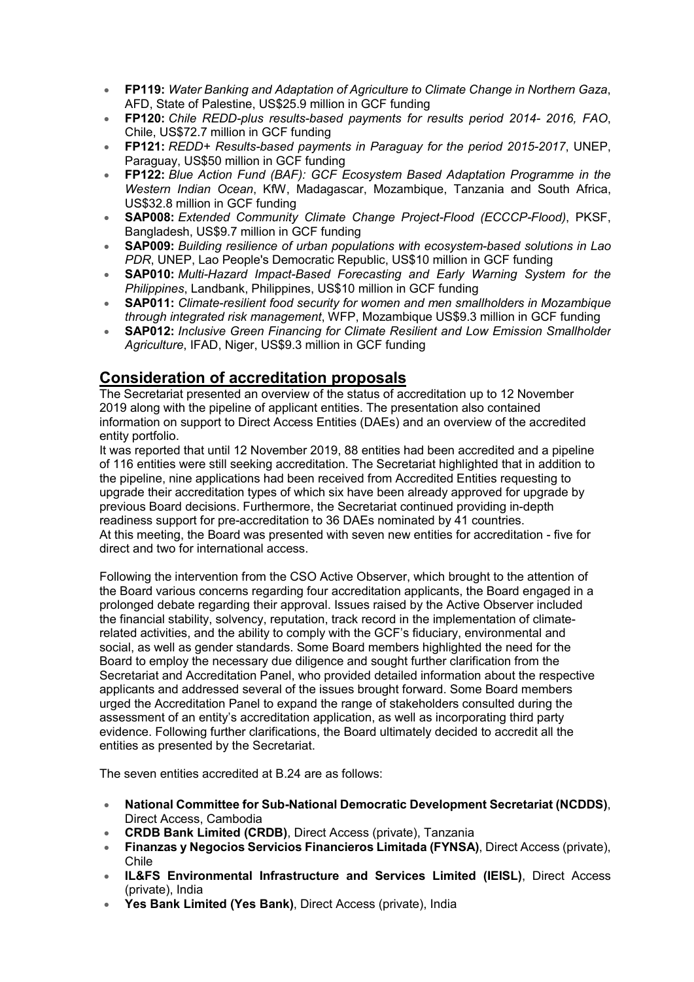- **FP119:** *Water Banking and Adaptation of Agriculture to Climate Change in Northern Gaza*, AFD, State of Palestine, US\$25.9 million in GCF funding
- **FP120:** *Chile REDD-plus results-based payments for results period 2014- 2016, FAO*, Chile, US\$72.7 million in GCF funding
- **FP121:** *REDD+ Results-based payments in Paraguay for the period 2015-2017*, UNEP, Paraguay, US\$50 million in GCF funding
- **FP122:** *Blue Action Fund (BAF): GCF Ecosystem Based Adaptation Programme in the Western Indian Ocean*, KfW, Madagascar, Mozambique, Tanzania and South Africa, US\$32.8 million in GCF funding
- **SAP008:** *Extended Community Climate Change Project-Flood (ECCCP-Flood)*, PKSF, Bangladesh, US\$9.7 million in GCF funding
- **SAP009:** *Building resilience of urban populations with ecosystem-based solutions in Lao PDR*, UNEP, Lao People's Democratic Republic, US\$10 million in GCF funding
- **SAP010:** *Multi-Hazard Impact-Based Forecasting and Early Warning System for the Philippines*, Landbank, Philippines, US\$10 million in GCF funding
- **SAP011:** *Climate-resilient food security for women and men smallholders in Mozambique through integrated risk management*, WFP, Mozambique US\$9.3 million in GCF funding
- **SAP012:** *Inclusive Green Financing for Climate Resilient and Low Emission Smallholder Agriculture*, IFAD, Niger, US\$9.3 million in GCF funding

# **Consideration of accreditation proposals**

The Secretariat presented an overview of the status of accreditation up to 12 November 2019 along with the pipeline of applicant entities. The presentation also contained information on support to Direct Access Entities (DAEs) and an overview of the accredited entity portfolio.

It was reported that until 12 November 2019, 88 entities had been accredited and a pipeline of 116 entities were still seeking accreditation. The Secretariat highlighted that in addition to the pipeline, nine applications had been received from Accredited Entities requesting to upgrade their accreditation types of which six have been already approved for upgrade by previous Board decisions. Furthermore, the Secretariat continued providing in-depth readiness support for pre-accreditation to 36 DAEs nominated by 41 countries. At this meeting, the Board was presented with seven new entities for accreditation - five for direct and two for international access.

Following the intervention from the CSO Active Observer, which brought to the attention of the Board various concerns regarding four accreditation applicants, the Board engaged in a prolonged debate regarding their approval. Issues raised by the Active Observer included the financial stability, solvency, reputation, track record in the implementation of climaterelated activities, and the ability to comply with the GCF's fiduciary, environmental and social, as well as gender standards. Some Board members highlighted the need for the Board to employ the necessary due diligence and sought further clarification from the Secretariat and Accreditation Panel, who provided detailed information about the respective applicants and addressed several of the issues brought forward. Some Board members urged the Accreditation Panel to expand the range of stakeholders consulted during the assessment of an entity's accreditation application, as well as incorporating third party evidence. Following further clarifications, the Board ultimately decided to accredit all the entities as presented by the Secretariat.

The seven entities accredited at B.24 are as follows:

- **National Committee for Sub-National Democratic Development Secretariat (NCDDS)**, Direct Access, Cambodia
- **CRDB Bank Limited (CRDB)**, Direct Access (private), Tanzania
- **Finanzas y Negocios Servicios Financieros Limitada (FYNSA)**, Direct Access (private), Chile
- **IL&FS Environmental Infrastructure and Services Limited (IEISL)**, Direct Access (private), India
- **Yes Bank Limited (Yes Bank)**, Direct Access (private), India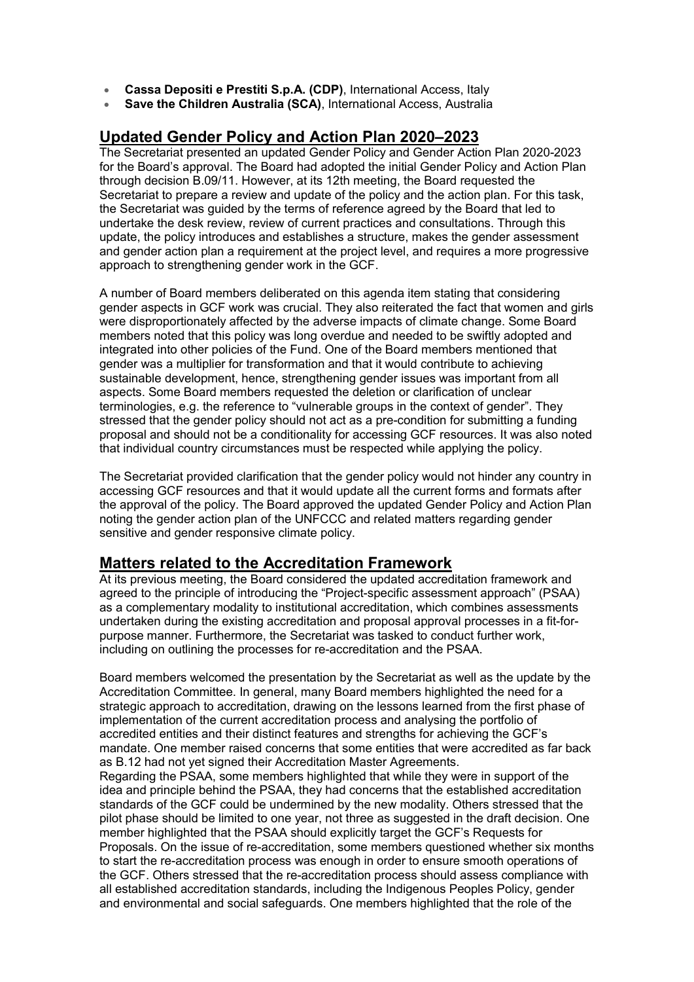- **Cassa Depositi e Prestiti S.p.A. (CDP)**, International Access, Italy
- **Save the Children Australia (SCA)**, International Access, Australia

# **Updated Gender Policy and Action Plan 2020–2023**

The Secretariat presented an updated Gender Policy and Gender Action Plan 2020-2023 for the Board's approval. The Board had adopted the initial Gender Policy and Action Plan through decision B.09/11. However, at its 12th meeting, the Board requested the Secretariat to prepare a review and update of the policy and the action plan. For this task, the Secretariat was guided by the terms of reference agreed by the Board that led to undertake the desk review, review of current practices and consultations. Through this update, the policy introduces and establishes a structure, makes the gender assessment and gender action plan a requirement at the project level, and requires a more progressive approach to strengthening gender work in the GCF.

A number of Board members deliberated on this agenda item stating that considering gender aspects in GCF work was crucial. They also reiterated the fact that women and girls were disproportionately affected by the adverse impacts of climate change. Some Board members noted that this policy was long overdue and needed to be swiftly adopted and integrated into other policies of the Fund. One of the Board members mentioned that gender was a multiplier for transformation and that it would contribute to achieving sustainable development, hence, strengthening gender issues was important from all aspects. Some Board members requested the deletion or clarification of unclear terminologies, e.g. the reference to "vulnerable groups in the context of gender". They stressed that the gender policy should not act as a pre-condition for submitting a funding proposal and should not be a conditionality for accessing GCF resources. It was also noted that individual country circumstances must be respected while applying the policy.

The Secretariat provided clarification that the gender policy would not hinder any country in accessing GCF resources and that it would update all the current forms and formats after the approval of the policy. The Board approved the updated Gender Policy and Action Plan noting the gender action plan of the UNFCCC and related matters regarding gender sensitive and gender responsive climate policy.

### **Matters related to the Accreditation Framework**

At its previous meeting, the Board considered the updated accreditation framework and agreed to the principle of introducing the "Project-specific assessment approach" (PSAA) as a complementary modality to institutional accreditation, which combines assessments undertaken during the existing accreditation and proposal approval processes in a fit-forpurpose manner. Furthermore, the Secretariat was tasked to conduct further work, including on outlining the processes for re-accreditation and the PSAA.

Board members welcomed the presentation by the Secretariat as well as the update by the Accreditation Committee. In general, many Board members highlighted the need for a strategic approach to accreditation, drawing on the lessons learned from the first phase of implementation of the current accreditation process and analysing the portfolio of accredited entities and their distinct features and strengths for achieving the GCF's mandate. One member raised concerns that some entities that were accredited as far back as B.12 had not yet signed their Accreditation Master Agreements.

Regarding the PSAA, some members highlighted that while they were in support of the idea and principle behind the PSAA, they had concerns that the established accreditation standards of the GCF could be undermined by the new modality. Others stressed that the pilot phase should be limited to one year, not three as suggested in the draft decision. One member highlighted that the PSAA should explicitly target the GCF's Requests for Proposals. On the issue of re-accreditation, some members questioned whether six months to start the re-accreditation process was enough in order to ensure smooth operations of the GCF. Others stressed that the re-accreditation process should assess compliance with all established accreditation standards, including the Indigenous Peoples Policy, gender and environmental and social safeguards. One members highlighted that the role of the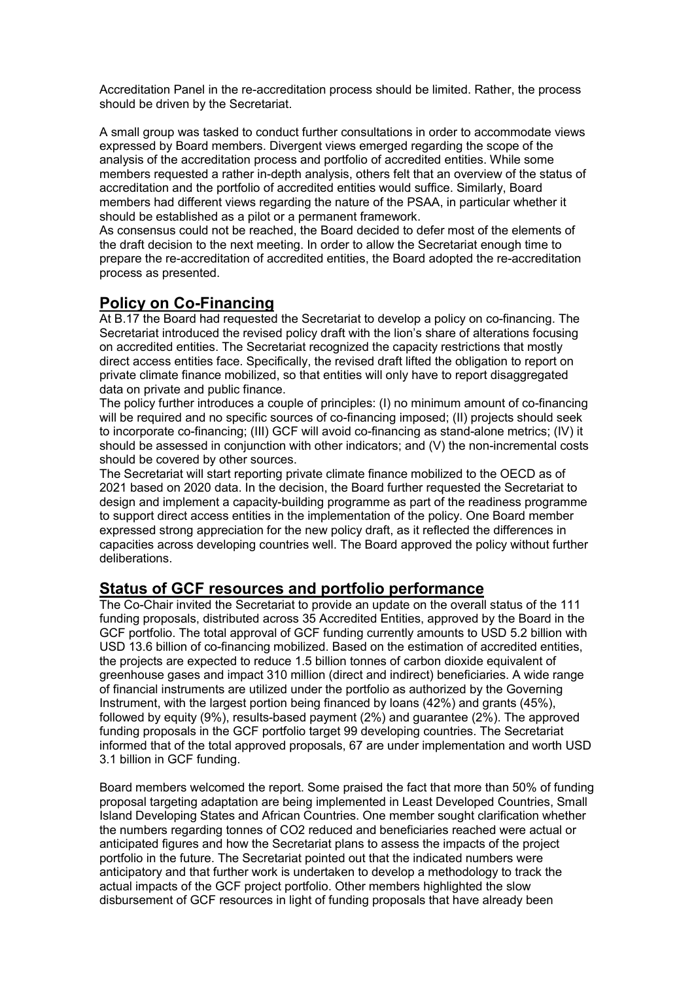Accreditation Panel in the re-accreditation process should be limited. Rather, the process should be driven by the Secretariat.

A small group was tasked to conduct further consultations in order to accommodate views expressed by Board members. Divergent views emerged regarding the scope of the analysis of the accreditation process and portfolio of accredited entities. While some members requested a rather in-depth analysis, others felt that an overview of the status of accreditation and the portfolio of accredited entities would suffice. Similarly, Board members had different views regarding the nature of the PSAA, in particular whether it should be established as a pilot or a permanent framework.

As consensus could not be reached, the Board decided to defer most of the elements of the draft decision to the next meeting. In order to allow the Secretariat enough time to prepare the re-accreditation of accredited entities, the Board adopted the re-accreditation process as presented.

# **Policy on Co-Financing**

At B.17 the Board had requested the Secretariat to develop a policy on co-financing. The Secretariat introduced the revised policy draft with the lion's share of alterations focusing on accredited entities. The Secretariat recognized the capacity restrictions that mostly direct access entities face. Specifically, the revised draft lifted the obligation to report on private climate finance mobilized, so that entities will only have to report disaggregated data on private and public finance.

The policy further introduces a couple of principles: (I) no minimum amount of co-financing will be required and no specific sources of co-financing imposed; (II) projects should seek to incorporate co-financing; (III) GCF will avoid co-financing as stand-alone metrics; (IV) it should be assessed in conjunction with other indicators; and (V) the non-incremental costs should be covered by other sources.

The Secretariat will start reporting private climate finance mobilized to the OECD as of 2021 based on 2020 data. In the decision, the Board further requested the Secretariat to design and implement a capacity-building programme as part of the readiness programme to support direct access entities in the implementation of the policy. One Board member expressed strong appreciation for the new policy draft, as it reflected the differences in capacities across developing countries well. The Board approved the policy without further deliberations.

# **Status of GCF resources and portfolio performance**

The Co-Chair invited the Secretariat to provide an update on the overall status of the 111 funding proposals, distributed across 35 Accredited Entities, approved by the Board in the GCF portfolio. The total approval of GCF funding currently amounts to USD 5.2 billion with USD 13.6 billion of co-financing mobilized. Based on the estimation of accredited entities, the projects are expected to reduce 1.5 billion tonnes of carbon dioxide equivalent of greenhouse gases and impact 310 million (direct and indirect) beneficiaries. A wide range of financial instruments are utilized under the portfolio as authorized by the Governing Instrument, with the largest portion being financed by loans (42%) and grants (45%), followed by equity (9%), results-based payment (2%) and guarantee (2%). The approved funding proposals in the GCF portfolio target 99 developing countries. The Secretariat informed that of the total approved proposals, 67 are under implementation and worth USD 3.1 billion in GCF funding.

Board members welcomed the report. Some praised the fact that more than 50% of funding proposal targeting adaptation are being implemented in Least Developed Countries, Small Island Developing States and African Countries. One member sought clarification whether the numbers regarding tonnes of CO2 reduced and beneficiaries reached were actual or anticipated figures and how the Secretariat plans to assess the impacts of the project portfolio in the future. The Secretariat pointed out that the indicated numbers were anticipatory and that further work is undertaken to develop a methodology to track the actual impacts of the GCF project portfolio. Other members highlighted the slow disbursement of GCF resources in light of funding proposals that have already been